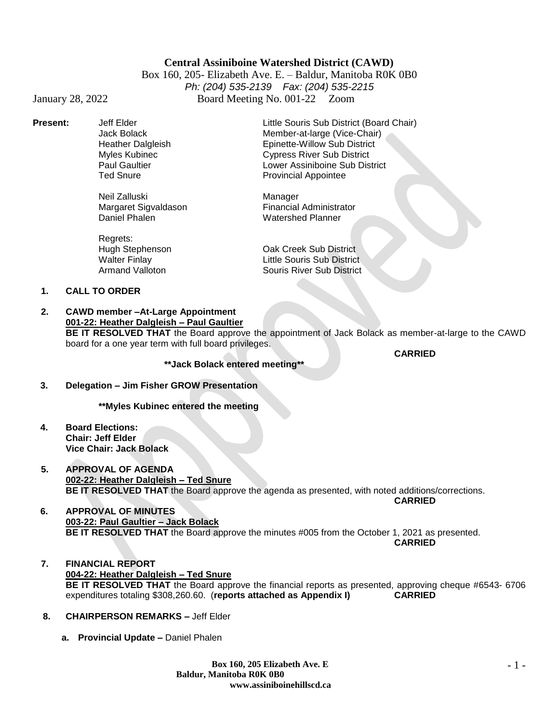## **Central Assiniboine Watershed District (CAWD)**

Box 160, 205- Elizabeth Ave. E. – Baldur, Manitoba R0K 0B0 *Ph: (204) 535-2139 Fax: (204) 535-2215* January 28, 2022 Board Meeting No. 001-22 Zoom

**Present:** Jeff Elder Little Souris Sub District (Board Chair)

Neil Zalluski<br>Margaret Sigvaldason Manager<br>Financial Administrator Margaret Sigvaldason<br>Daniel Phalen

Regrets:<br>Hugh Stephenson

Jack Bolack Member-at-large (Vice-Chair) Heather Dalgleish Epinette-Willow Sub District Myles Kubinec **Cypress River Sub District**<br>Paul Gaultier Capacity Communic Communication Communication Communication<br>Communication Communication Communication Communication Communication Communication Communication Communi Paul Gaultier **Lower Assiniboine Sub District**<br>Ted Snure **Lower Assiniboine Sub District**<br>Provincial Appointee Provincial Appointee

Watershed Planner

Hugh Stephenson Oak Creek Sub District Little Souris Sub District Armand Valloton Souris River Sub District

#### **1. CALL TO ORDER**

**2. CAWD member –At-Large Appointment 001-22: Heather Dalgleish – Paul Gaultier BE IT RESOLVED THAT** the Board approve the appointment of Jack Bolack as member-at-large to the CAWD board for a one year term with full board privileges.

**\*\*Jack Bolack entered meeting\*\***

**CARRIED**

 **3. Delegation – Jim Fisher GROW Presentation**

**\*\*Myles Kubinec entered the meeting**

- **4. Board Elections: Chair: Jeff Elder Vice Chair: Jack Bolack**
- **5. APPROVAL OF AGENDA 002-22: Heather Dalgleish – Ted Snure BE IT RESOLVED THAT** the Board approve the agenda as presented, with noted additions/corrections. **CARRIED**
- **6. APPROVAL OF MINUTES 003-22: Paul Gaultier – Jack Bolack BE IT RESOLVED THAT** the Board approve the minutes #005 from the October 1, 2021 as presented. **CARRIED**

**7. FINANCIAL REPORT 004-22: Heather Dalgleish – Ted Snure BE IT RESOLVED THAT** the Board approve the financial reports as presented, approving cheque #6543- 6706 expenditures totaling \$308,260.60. (**reports attached as Appendix I) CARRIED**

- **8. CHAIRPERSON REMARKS –** Jeff Elder
	- **a. Provincial Update –** Daniel Phalen

- 1 -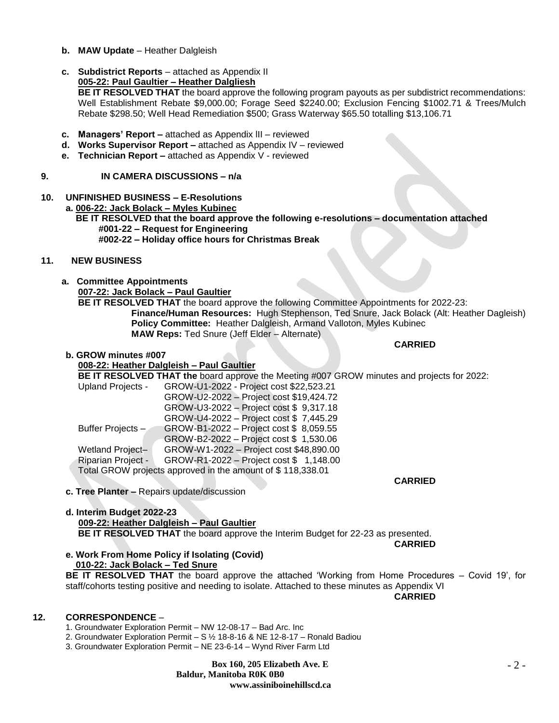- **b. MAW Update**  Heather Dalgleish
- **c.** Subdistrict Reports attached as Appendix II

# **005-22: Paul Gaultier – Heather Dalgliesh**

**BE IT RESOLVED THAT** the board approve the following program payouts as per subdistrict recommendations: Well Establishment Rebate \$9,000.00; Forage Seed \$2240.00; Exclusion Fencing \$1002.71 & Trees/Mulch Rebate \$298.50; Well Head Remediation \$500; Grass Waterway \$65.50 totalling \$13,106.71

- **c. Managers' Report –** attached as Appendix lII reviewed
- **d. Works Supervisor Report –** attached as Appendix IV reviewed
- **e. Technician Report –** attached as Appendix V reviewed

## **9. IN CAMERA DISCUSSIONS – n/a**

**10. UNFINISHED BUSINESS – E-Resolutions a. 006-22: Jack Bolack – Myles Kubinec** 

 **BE IT RESOLVED that the board approve the following e-resolutions – documentation attached #001-22 – Request for Engineering #002-22 – Holiday office hours for Christmas Break**

### **11. NEW BUSINESS**

**a. Committee Appointments**

**007-22: Jack Bolack – Paul Gaultier**

**BE IT RESOLVED THAT** the board approve the following Committee Appointments for 2022-23: **Finance/Human Resources:** Hugh Stephenson, Ted Snure, Jack Bolack (Alt: Heather Dagleish) **Policy Committee:** Heather Dalgleish, Armand Valloton, Myles Kubinec **MAW Reps:** Ted Snure (Jeff Elder – Alternate)

**CARRIED**

### **b. GROW minutes #007**

## **008-22: Heather Dalgleish – Paul Gaultier**

**BE IT RESOLVED THAT the** board approve the Meeting #007 GROW minutes and projects for 2022:

| <b>Upland Projects -</b>                                   | GROW-U1-2022 - Project cost \$22,523.21 |
|------------------------------------------------------------|-----------------------------------------|
|                                                            | GROW-U2-2022 - Project cost \$19,424.72 |
|                                                            | GROW-U3-2022 - Project cost \$9,317.18  |
|                                                            | GROW-U4-2022 - Project cost \$7,445.29  |
| Buffer Projects-                                           | GROW-B1-2022 - Project cost \$8,059.55  |
|                                                            | GROW-B2-2022 - Project cost \$ 1,530.06 |
| Wetland Project-                                           | GROW-W1-2022 - Project cost \$48,890.00 |
| Riparian Project -                                         | GROW-R1-2022 - Project cost \$ 1,148.00 |
| Total GROW projects approved in the amount of \$118,338.01 |                                         |
|                                                            |                                         |

**c. Tree Planter –** Repairs update/discussion

#### **d. Interim Budget 2022-23 009-22: Heather Dalgleish – Paul Gaultier BE IT RESOLVED THAT** the board approve the Interim Budget for 22-23 as presented.

**e. Work From Home Policy if Isolating (Covid) 010-22: Jack Bolack – Ted Snure**

**BE IT RESOLVED THAT** the board approve the attached 'Working from Home Procedures – Covid 19', for staff/cohorts testing positive and needing to isolate. Attached to these minutes as Appendix VI

**CARRIED**

**CARRIED**

**CARRIED**

## **12. CORRESPONDENCE** –

- 1. Groundwater Exploration Permit NW 12-08-17 Bad Arc. Inc
- 2. Groundwater Exploration Permit S ½ 18-8-16 & NE 12-8-17 Ronald Badiou
- 3. Groundwater Exploration Permit NE 23-6-14 Wynd River Farm Ltd

**Box 160, 205 Elizabeth Ave. E Baldur, Manitoba R0K 0B0 www.assiniboinehillscd.ca**